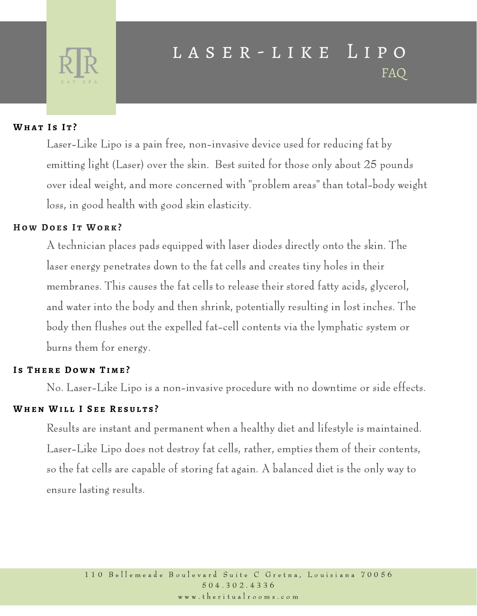

## l a s e r - l i k e L i p o FAQ

## **Wha t I s I t ?**

Laser-Like Lipo is a pain free, non-invasive device used for reducing fat by emitting light (Laser) over the skin. Best suited for those only about 25 pounds over ideal weight, and more concerned with "problem areas" than total-body weight loss, in good health with good skin elasticity.

### **H o w Do e s I t Wo r k ?**

A technician places pads equipped with laser diodes directly onto the skin. The laser energy penetrates down to the fat cells and creates tiny holes in their membranes. This causes the fat cells to release their stored fatty acids, glycerol, and water into the body and then shrink, potentially resulting in lost inches. The body then flushes out the expelled fat-cell contents via the lymphatic system or burns them for energy.

#### **I s The r e Do w n T i m e ?**

No. Laser-Like Lipo is a non-invasive procedure with no downtime or side effects.

## **When Wi l l I S e e Re s u l t s ?**

Results are instant and permanent when a healthy diet and lifestyle is maintained. Laser-Like Lipo does not destroy fat cells, rather, empties them of their contents, so the fat cells are capable of storing fat again. A balanced diet is the only way to ensure lasting results.